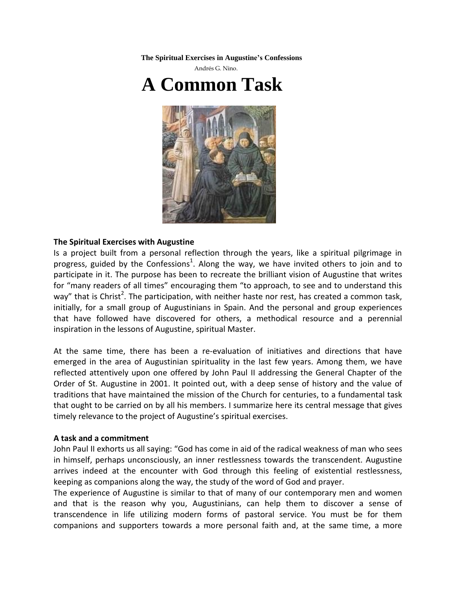**The Spiritual Exercises in Augustine's Confessions** 





## **The Spiritual Exercises with Augustine**

Is a project built from a personal reflection through the years, like a spiritual pilgrimage in progress, guided by the Confessions<sup>1</sup>. Along the way, we have invited others to join and to participate in it. The purpose has been to recreate the brilliant vision of Augustine that writes for "many readers of all times" encouraging them "to approach, to see and to understand this way" that is Christ<sup>2</sup>. The participation, with neither haste nor rest, has created a common task, initially, for a small group of Augustinians in Spain. And the personal and group experiences that have followed have discovered for others, a methodical resource and a perennial inspiration in the lessons of Augustine, spiritual Master.

At the same time, there has been a re-evaluation of initiatives and directions that have emerged in the area of Augustinian spirituality in the last few years. Among them, we have reflected attentively upon one offered by John Paul II addressing the General Chapter of the Order of St. Augustine in 2001. It pointed out, with a deep sense of history and the value of traditions that have maintained the mission of the Church for centuries, to a fundamental task that ought to be carried on by all his members. I summarize here its central message that gives timely relevance to the project of Augustine's spiritual exercises.

## **A task and a commitment**

John Paul II exhorts us all saying: "God has come in aid of the radical weakness of man who sees in himself, perhaps unconsciously, an inner restlessness towards the transcendent. Augustine arrives indeed at the encounter with God through this feeling of existential restlessness, keeping as companions along the way, the study of the word of God and prayer.

The experience of Augustine is similar to that of many of our contemporary men and women and that is the reason why you, Augustinians, can help them to discover a sense of transcendence in life utilizing modern forms of pastoral service. You must be for them companions and supporters towards a more personal faith and, at the same time, a more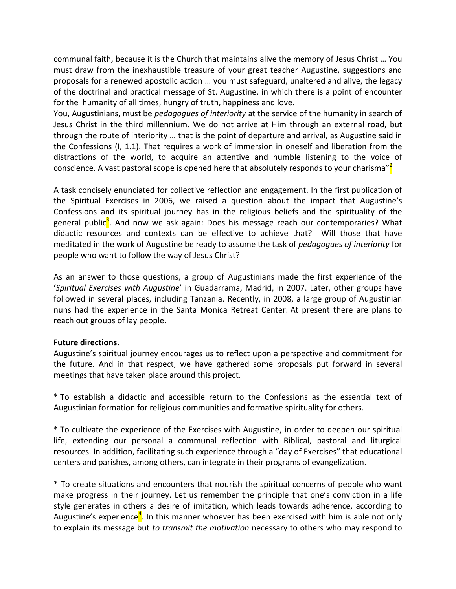communal faith, because it is the Church that maintains alive the memory of Jesus Christ … You must draw from the inexhaustible treasure of your great teacher Augustine, suggestions and proposals for a renewed apostolic action … you must safeguard, unaltered and alive, the legacy of the doctrinal and practical message of St. Augustine, in which there is a point of encounter for the humanity of all times, hungry of truth, happiness and love.

You, Augustinians, must be *pedagogues of interiority* at the service of the humanity in search of Jesus Christ in the third millennium. We do not arrive at Him through an external road, but through the route of interiority … that is the point of departure and arrival, as Augustine said in the Confessions (I, 1.1). That requires a work of immersion in oneself and liberation from the distractions of the world, to acquire an attentive and humble listening to the voice of conscience. A vast pastoral scope is opened here that absolutely responds to your charisma"<sup>2</sup>

A task concisely enunciated for collective reflection and engagement. In the first publication of the Spiritual Exercises in 2006, we raised a question about the impact that Augustine's Confessions and its spiritual journey has in the religious beliefs and the spirituality of the general public<sup>3</sup>. And now we ask again: Does his message reach our contemporaries? What didactic resources and contexts can be effective to achieve that? Will those that have meditated in the work of Augustine be ready to assume the task of *pedagogues of interiority* for people who want to follow the way of Jesus Christ?

As an answer to those questions, a group of Augustinians made the first experience of the '*Spiritual Exercises with Augustine*' in Guadarrama, Madrid, in 2007. Later, other groups have followed in several places, including Tanzania. Recently, in 2008, a large group of Augustinian nuns had the experience in the Santa Monica Retreat Center. At present there are plans to reach out groups of lay people.

## **Future directions.**

Augustine's spiritual journey encourages us to reflect upon a perspective and commitment for the future. And in that respect, we have gathered some proposals put forward in several meetings that have taken place around this project.

\* To establish a didactic and accessible return to the Confessions as the essential text of Augustinian formation for religious communities and formative spirituality for others.

\* To cultivate the experience of the Exercises with Augustine, in order to deepen our spiritual life, extending our personal a communal reflection with Biblical, pastoral and liturgical resources. In addition, facilitating such experience through a "day of Exercises" that educational centers and parishes, among others, can integrate in their programs of evangelization.

\* To create situations and encounters that nourish the spiritual concerns of people who want make progress in their journey. Let us remember the principle that one's conviction in a life style generates in others a desire of imitation, which leads towards adherence, according to Augustine's experience<sup>4</sup>. In this manner whoever has been exercised with him is able not only to explain its message but *to transmit the motivation* necessary to others who may respond to